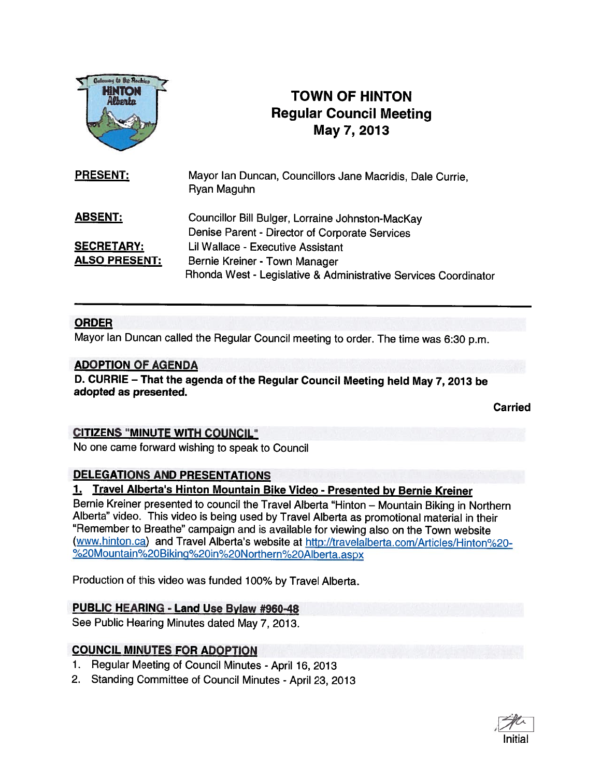

# **INTON CONTRACT COWN OF HINTON Regular Council Meeting** May 7, 2013

| <b>PRESENT:</b>      | Mayor Ian Duncan, Councillors Jane Macridis, Dale Currie,<br>Ryan Maguhn |
|----------------------|--------------------------------------------------------------------------|
| <b>ABSENT:</b>       | Councillor Bill Bulger, Lorraine Johnston-MacKay                         |
|                      | Denise Parent - Director of Corporate Services                           |
| <b>SECRETARY:</b>    | Lil Wallace - Executive Assistant                                        |
| <b>ALSO PRESENT:</b> | Bernie Kreiner - Town Manager                                            |
|                      | Rhonda West - Legislative & Administrative Services Coordinator          |

## ORDER

Mayor Ian Duncan called the Regular Council meeting to order. The time was 6:30 p.m.

#### ADOPTION OF AGENDA

D. CURRIE — That the agenda of the Regular Council Meeting held May 7, <sup>2013</sup> be adopted as presented.

Carried

## CITIZENS "MINUTE WITH COUNCIL"

No one came forward wishing to speak to Council

## DELEGATIONS AND PRESENTATIONS

## 1. Travel Alberta's Hinton Mountain Bike Video - Presented by Bernie Kreiner

Bernie Kreiner presented to council the Travel Alberta "Hinton — Mountain Biking in Northern Alberta" video. This video is being used by Travel Alberta as promotional material in their "Remember to Breathe" campaign and is available for viewing also on the Town website (www.hinton.ca) and Travel Alberta's website at http://travelalberta.com/Articles/Hinton%20-%20Mountain%2oBiking%2Oin%2oNorthern%2oAlberta.aspx

Production of this video was funded 100% by Travel Alberta.

## PUBLIC HEARING - Land Use Bylaw #960-48

See Public Hearing Minutes dated May 7, 2013.

## COUNCIL MINUTES FOR ADOPTION

- 1. Regular Meeting of Council Minutes April 16, 2013
- 2. Standing Committee of Council Minutes April 23, 2013

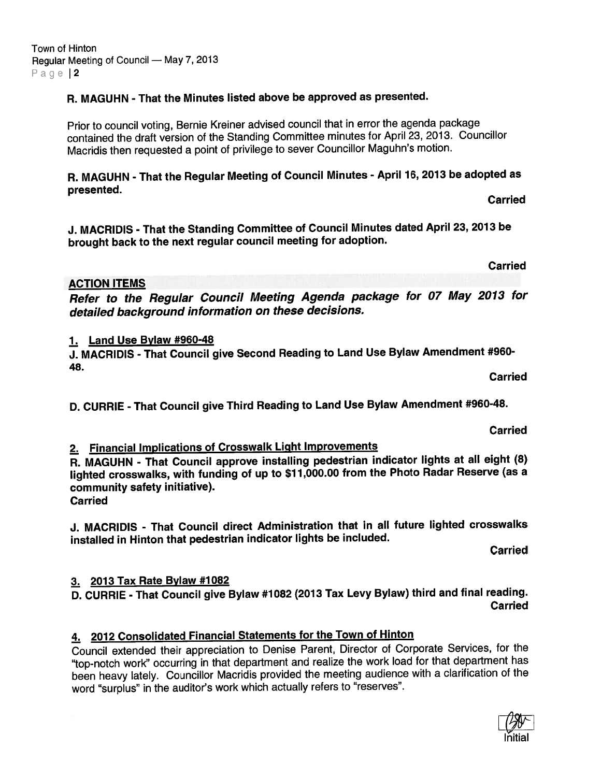## R. MAGUHN - That the Minutes listed above be approved as presented.

Prior to council voting, Bernie Kreiner advised council that in error the agenda package contained the draft version of the Standing Committee minutes for April 23, 2013. Councillor Macridis then requested <sup>a</sup> point of privilege to sever Councillor Maguhn's motion.

R. MAGUHN - That the Regular Meeting of Council Minutes - April 16, <sup>2013</sup> be adopted as presented.<br>Exercise of the carried control of the carried control of the carried control of the carried carried

J. MACRIDIS - That the Standing Committee of Council Minutes dated April 23, <sup>2013</sup> be brought back to the next regular council meeting for adoption.

ACTION ITEMS

Refer to the Regular Council Meeting Agenda package for <sup>07</sup> May <sup>2013</sup> for detailed background information on these decisions.

#### 1. Land Use Bylaw #960-48

J. MACRIDIS -That Council <sup>g</sup>ive Second Reading to Land Use Bylaw Amendment #960- 48.

D. CURRIE - That Council <sup>g</sup>ive Third Reading to Land Use Bylaw Amendment #960-48.

2. Financial Implications of Crosswalk Light Improvements

R. MAGUHN - That Council approve installing pedestrian indicator lights at all eight (8) lighted crosswalks, with funding of up to \$11,000.00 from the Photo Radar Reserve (as a community safety initiative).

## Carried

J. MACRIDIS - That Council direct Administration that in all future lighted crosswalks installed in Hinton that pedestrian indicator lights be included.

Carried

## 3. 2013 Tax Rate Bylaw #1082

D. CURRIE - That Council give Bylaw #1082 (2013 Tax Levy Bylaw) third and final reading. **Carried** 

## 4. 2012 Consolidated Financial Statements for the Town of Hinton

Council extended their appreciation to Denise Parent, Director of Corporate Services, for the "top-notch work" occurring in that department and realize the work load for that department has been heavy lately. Councillor Macridis provided the meeting audience with <sup>a</sup> clarification of the word "surplus" in the auditor's work which actually refers to "reserves".

Carried

Carried

**Carried**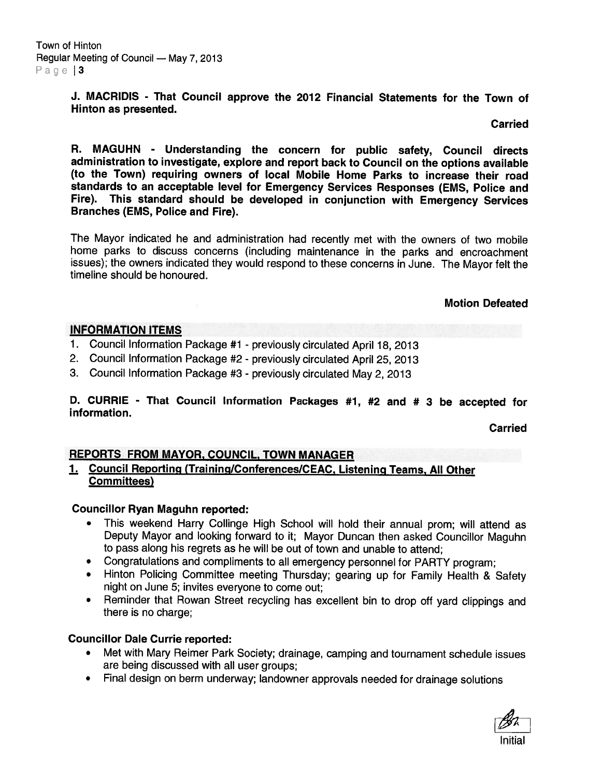J. MACRIDIS - That Council approve the 2012 Financial Statements for the Town of Hinton as presented.

Carried

R. MAGUHN - Understanding the concern for public safety, Council directs administration to investigate, explore and repor<sup>t</sup> back to Council on the options available (to the Town) requiring owners of local Mobile Home Parks to increase their road standards to an acceptable level for Emergency Services Responses (EMS, Police and Fire). This standard should be developed in conjunction with Emergency Services Branches (EMS, Police and Fire).

The Mayor indicated he and administration had recently met with the owners of two mobile home parks to discuss concerns (including maintenance in the parks and encroachment issues); the owners indicated they would respon<sup>d</sup> to these concerns in June. The Mayor felt the timeline should be honoured.

#### Motion Defeated

#### INFORMATION ITEMS

- 1. Council Information Package #1 previously circulated April 18, <sup>2013</sup>
- 2. Council Information Package #2 previously circulated April25, <sup>2013</sup>
- 3. Council Information Package #3 previously circulated May 2, <sup>2013</sup>

D. CURRIE - That Council Information Packages #1, #2 and # <sup>3</sup> be accepted for information.

Carried

#### REPORTS FROM MAYOR, COUNCIL, TOWN MANAGER

## 1. Council Reporting (Training/Conferences/CEAC, Listening Teams. All Other Committees)

#### Councillor Ryan Maguhn reporled:

- • This weekend Harry Collinge High School will hold their annual prom; will attend as Deputy Mayor and looking forward to it; Mayor Duncan then asked Councillor Maguhn to pass along his regrets as he will be out of town and unable to attend;
- Congratulations and compliments to all emergency personne<sup>l</sup> for PARTY program;
- Hinton Policing Committee meeting Thursday; gearing up for Family Health & Safety night on June 5; invites everyone to come out;
- • Reminder that Rowan Street recycling has excellent bin to drop off yar<sup>d</sup> clippings and there is no charge;

#### Councillor Dale Currie reported:

- • Met with Mary Reimer Park Society; drainage, camping and tournament schedule issues are being discussed with all user groups;
- •Final design on berm underway; landowner approvals needed for drainage solutions

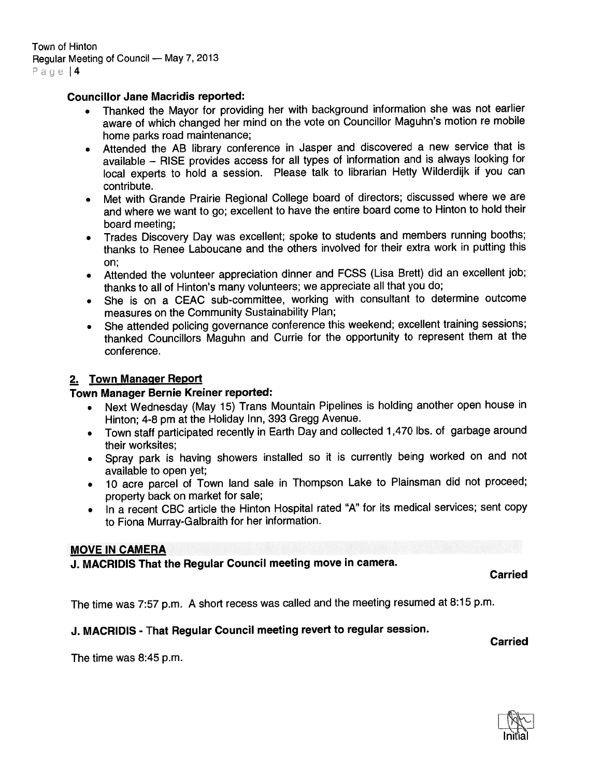#### Councillor Jane Macridis reported:

- • Thanked the Mayor for providing her with background information she was not earlier aware of which changed her mind on the vote on Councillor Maguhn's motion re mobile home parks road maintenance;
- Attended the AB library conference in Jasper and discovered <sup>a</sup> new service that is available — RISE provides access for all types of information and is always looking for local experts to hold <sup>a</sup> session. Please talk to librarian Hetty Wilderdijk if you can contribute.
- • Met with Grande Prairie Regional College board of directors; discussed where we are and where we want to go; excellent to have the entire board come to Hinton to hold their board meeting;
- • Trades Discovery Day was excellent; spoke to students and members running booths; thanks to Renee Laboucane and the others involved for their extra work in putting this on;
- • Attended the volunteer appreciation dinner and FCSS (Lisa Brett) did an excellent job; thanks to all of Hinton's many volunteers; we appreciate all that you do;
- • She is on <sup>a</sup> CEAC sub-committee, working with consultant to determine outcome measures on the Community Sustainability Plan;
- She attended policing governance conference this weekend; excellent training sessions; thanked Councillors Maguhn and Currie for the opportunity to represen<sup>t</sup> them at the conference.

#### 2. Town Manager Report

#### Town Manager Bernie Kreiner reported:

- Next Wednesday (May 15) Trans Mountain Pipelines is holding another open house in Hinton; 4-8 pm at the Holiday Inn, 393 Gregg Avenue.
- Town staff participated recently in Earth Day and collected 1,470 lbs. of garbage around their worksites;
- Spray park is having showers installed so it is currently being worked on and not available to open yet;
- <sup>10</sup> acre parce<sup>l</sup> of Town land sale in Thompson Lake to Plainsman did not proceed; property back on market for sale;
- • In <sup>a</sup> recent CBC article the Hinton Hospital rated "A" for its medical services; sent copy to Fiona Murray-Galbraith for her information.

#### MOVE IN CAMERA

J. MACRIDIS That the Regular Council meeting move in camera.

Carried

The time was 7:57 p.m. <sup>A</sup> short recess was called and the meeting resumed at 8:15 p.m.

## J. MACRIDIS - That Regular Council meeting revert to regular session.

Carried

The time was 8:45 p.m.